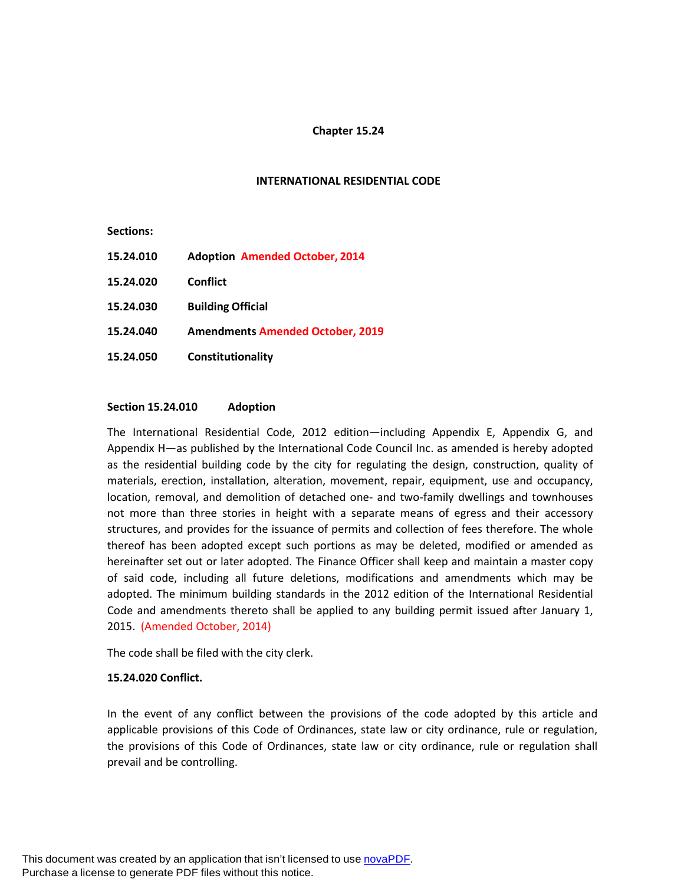## **Chapter 15.24**

#### **INTERNATIONAL RESIDENTIAL CODE**

**Sections:**

**15.24.010 Adoption Amended October, 2014 15.24.020 Conflict 15.24.030 Building Official 15.24.040 Amendments Amended October, 2019 15.24.050 Constitutionality**

#### **Section 15.24.010 Adoption**

The International Residential Code, 2012 edition—including Appendix E, Appendix G, and Appendix H—as published by the International Code Council Inc. as amended is hereby adopted as the residential building code by the city for regulating the design, construction, quality of materials, erection, installation, alteration, movement, repair, equipment, use and occupancy, location, removal, and demolition of detached one- and two-family dwellings and townhouses not more than three stories in height with a separate means of egress and their accessory structures, and provides for the issuance of permits and collection of fees therefore. The whole thereof has been adopted except such portions as may be deleted, modified or amended as hereinafter set out or later adopted. The Finance Officer shall keep and maintain a master copy of said code, including all future deletions, modifications and amendments which may be adopted. The minimum building standards in the 2012 edition of the International Residential Code and amendments thereto shall be applied to any building permit issued after January 1, 2015. (Amended October, 2014)

The code shall be filed with the city clerk.

#### **15.24.020 Conflict.**

In the event of any conflict between the provisions of the code adopted by this article and applicable provisions of this Code of Ordinances, state law or city ordinance, rule or regulation, the provisions of this Code of Ordinances, state law or city ordinance, rule or regulation shall prevail and be controlling.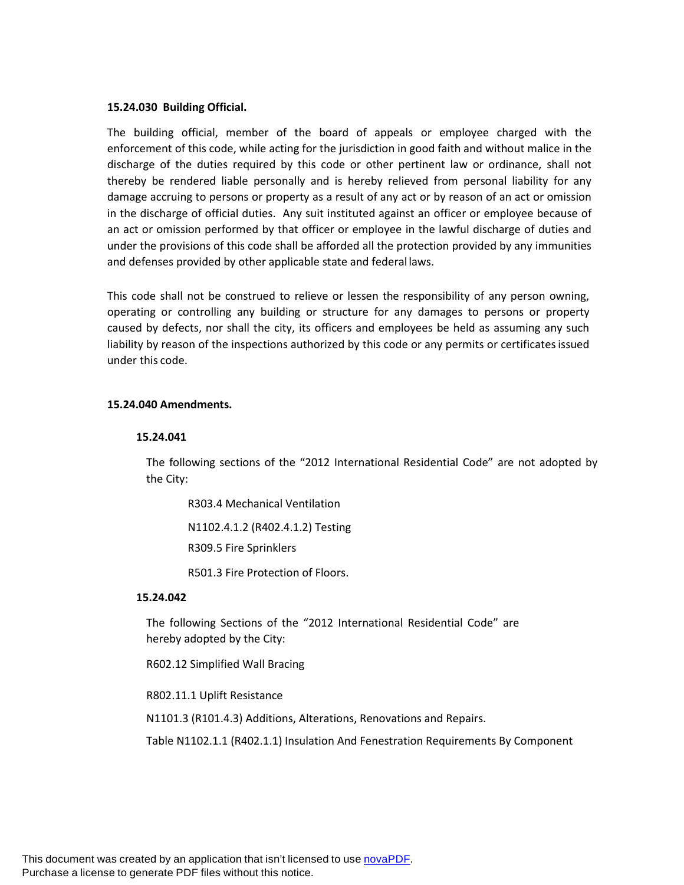## **15.24.030 Building Official.**

The building official, member of the board of appeals or employee charged with the enforcement of this code, while acting for the jurisdiction in good faith and without malice in the discharge of the duties required by this code or other pertinent law or ordinance, shall not thereby be rendered liable personally and is hereby relieved from personal liability for any damage accruing to persons or property as a result of any act or by reason of an act or omission in the discharge of official duties. Any suit instituted against an officer or employee because of an act or omission performed by that officer or employee in the lawful discharge of duties and under the provisions of this code shall be afforded all the protection provided by any immunities and defenses provided by other applicable state and federal laws.

This code shall not be construed to relieve or lessen the responsibility of any person owning, operating or controlling any building or structure for any damages to persons or property caused by defects, nor shall the city, its officers and employees be held as assuming any such liability by reason of the inspections authorized by this code or any permits or certificatesissued under this code.

## **15.24.040 Amendments.**

#### **15.24.041**

The following sections of the "2012 International Residential Code" are not adopted by the City:

R303.4 Mechanical Ventilation

N1102.4.1.2 (R402.4.1.2) Testing

R309.5 Fire Sprinklers

R501.3 Fire Protection of Floors.

# **15.24.042**

The following Sections of the "2012 International Residential Code" are hereby adopted by the City:

R602.12 Simplified Wall Bracing

R802.11.1 Uplift Resistance

N1101.3 (R101.4.3) Additions, Alterations, Renovations and Repairs.

Table N1102.1.1 (R402.1.1) Insulation And Fenestration Requirements By Component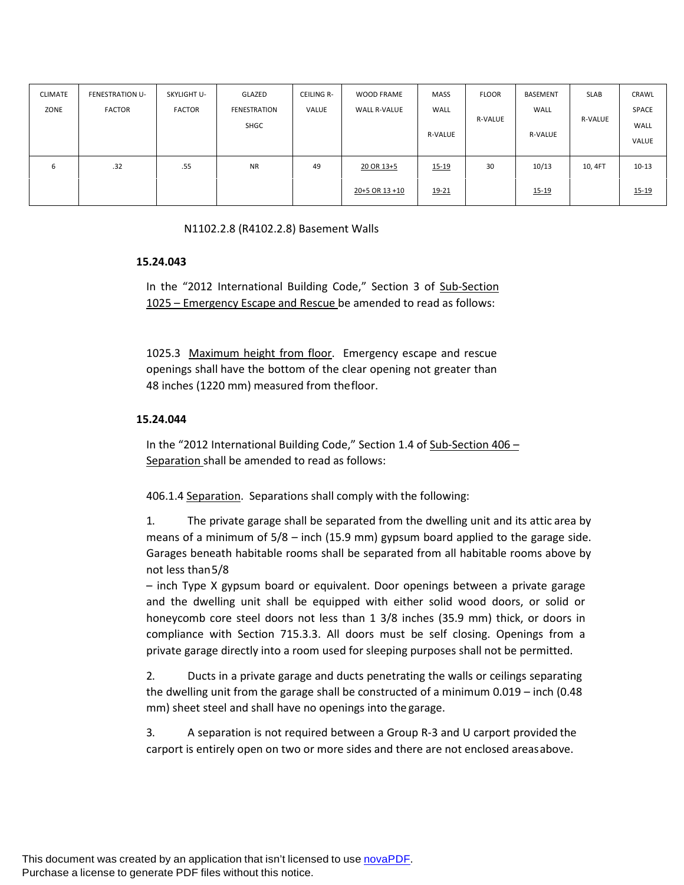| CLIMATE<br>ZONE | FENESTRATION U-<br><b>FACTOR</b> | SKYLIGHT U-<br><b>FACTOR</b> | GLAZED<br><b>FENESTRATION</b><br>SHGC | CEILING R-<br>VALUE | <b>WOOD FRAME</b><br><b>WALL R-VALUE</b> | <b>MASS</b><br>WALL<br><b>R-VALUE</b> | <b>FLOOR</b><br><b>R-VALUE</b> | BASEMENT<br>WALL<br><b>R-VALUE</b> | <b>SLAB</b><br><b>R-VALUE</b> | CRAWL<br>SPACE<br>WALL<br>VALUE |
|-----------------|----------------------------------|------------------------------|---------------------------------------|---------------------|------------------------------------------|---------------------------------------|--------------------------------|------------------------------------|-------------------------------|---------------------------------|
| 6               | .32                              | .55                          | <b>NR</b>                             | 49                  | 20 OR 13+5                               | 15-19                                 | 30                             | 10/13                              | 10, 4FT                       | $10 - 13$                       |
|                 |                                  |                              |                                       |                     | 20+5 OR 13 +10                           | 19-21                                 |                                | 15-19                              |                               | $15 - 19$                       |

N1102.2.8 (R4102.2.8) Basement Walls

## **15.24.043**

In the "2012 International Building Code," Section 3 of Sub-Section 1025 – Emergency Escape and Rescue be amended to read as follows:

1025.3 Maximum height from floor. Emergency escape and rescue openings shall have the bottom of the clear opening not greater than 48 inches (1220 mm) measured from thefloor.

## **15.24.044**

In the "2012 International Building Code," Section 1.4 of Sub-Section 406 – Separation shall be amended to read as follows:

406.1.4 Separation. Separations shall comply with the following:

1. The private garage shall be separated from the dwelling unit and its attic area by means of a minimum of 5/8 – inch (15.9 mm) gypsum board applied to the garage side. Garages beneath habitable rooms shall be separated from all habitable rooms above by not less than5/8

– inch Type X gypsum board or equivalent. Door openings between a private garage and the dwelling unit shall be equipped with either solid wood doors, or solid or honeycomb core steel doors not less than 1 3/8 inches (35.9 mm) thick, or doors in compliance with Section 715.3.3. All doors must be self closing. Openings from a private garage directly into a room used for sleeping purposes shall not be permitted.

2. Ducts in a private garage and ducts penetrating the walls or ceilings separating the dwelling unit from the garage shall be constructed of a minimum 0.019 – inch (0.48 mm) sheet steel and shall have no openings into the garage.

3. A separation is not required between a Group R-3 and U carport provided the carport is entirely open on two or more sides and there are not enclosed areasabove.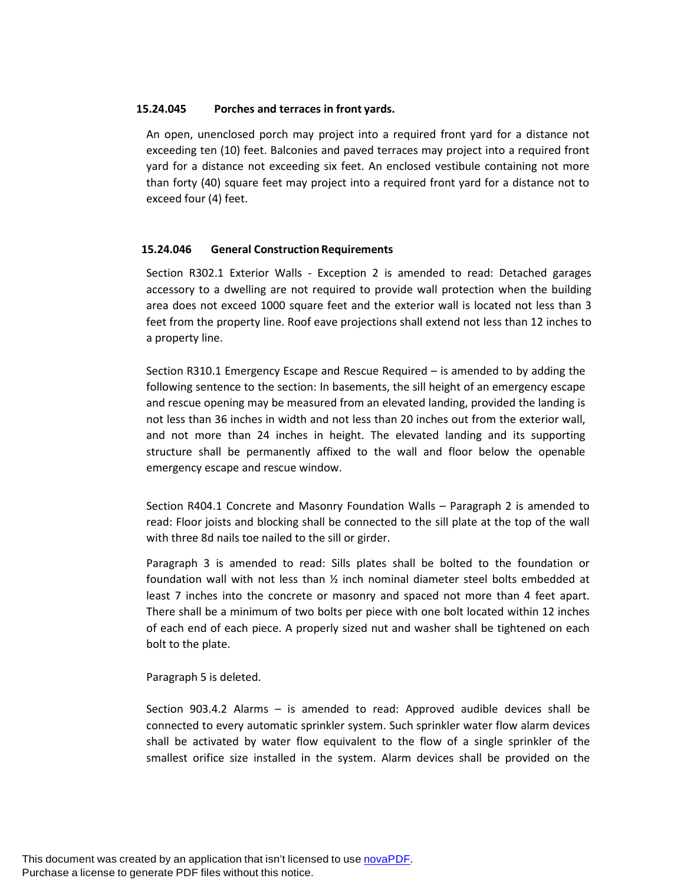## **15.24.045 Porches and terraces in front yards.**

An open, unenclosed porch may project into a required front yard for a distance not exceeding ten (10) feet. Balconies and paved terraces may project into a required front yard for a distance not exceeding six feet. An enclosed vestibule containing not more than forty (40) square feet may project into a required front yard for a distance not to exceed four (4) feet.

# **15.24.046 General Construction Requirements**

Section R302.1 Exterior Walls - Exception 2 is amended to read: Detached garages accessory to a dwelling are not required to provide wall protection when the building area does not exceed 1000 square feet and the exterior wall is located not less than 3 feet from the property line. Roof eave projections shall extend not less than 12 inches to a property line.

Section R310.1 Emergency Escape and Rescue Required – is amended to by adding the following sentence to the section: In basements, the sill height of an emergency escape and rescue opening may be measured from an elevated landing, provided the landing is not less than 36 inches in width and not less than 20 inches out from the exterior wall, and not more than 24 inches in height. The elevated landing and its supporting structure shall be permanently affixed to the wall and floor below the openable emergency escape and rescue window.

Section R404.1 Concrete and Masonry Foundation Walls – Paragraph 2 is amended to read: Floor joists and blocking shall be connected to the sill plate at the top of the wall with three 8d nails toe nailed to the sill or girder.

Paragraph 3 is amended to read: Sills plates shall be bolted to the foundation or foundation wall with not less than ½ inch nominal diameter steel bolts embedded at least 7 inches into the concrete or masonry and spaced not more than 4 feet apart. There shall be a minimum of two bolts per piece with one bolt located within 12 inches of each end of each piece. A properly sized nut and washer shall be tightened on each bolt to the plate.

# Paragraph 5 is deleted.

Section 903.4.2 Alarms – is amended to read: Approved audible devices shall be connected to every automatic sprinkler system. Such sprinkler water flow alarm devices shall be activated by water flow equivalent to the flow of a single sprinkler of the smallest orifice size installed in the system. Alarm devices shall be provided on the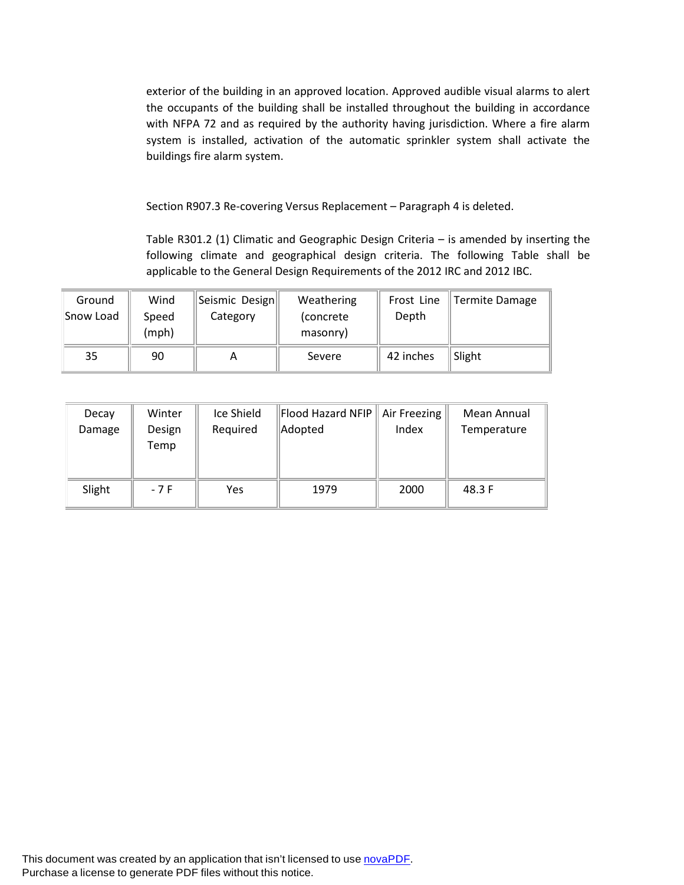exterior of the building in an approved location. Approved audible visual alarms to alert the occupants of the building shall be installed throughout the building in accordance with NFPA 72 and as required by the authority having jurisdiction. Where a fire alarm system is installed, activation of the automatic sprinkler system shall activate the buildings fire alarm system.

Section R907.3 Re-covering Versus Replacement – Paragraph 4 is deleted.

Table R301.2 (1) Climatic and Geographic Design Criteria – is amended by inserting the following climate and geographical design criteria. The following Table shall be applicable to the General Design Requirements of the 2012 IRC and 2012 IBC.

| Ground<br>Snow Load | Wind<br>Speed<br>(mph) | Seismic Design<br>Category | Weathering<br>(concrete)<br>masonry) | Frost Line<br>Depth | Termite Damage |
|---------------------|------------------------|----------------------------|--------------------------------------|---------------------|----------------|
| 35                  | 90                     | A                          | Severe                               | 42 inches           | Slight         |

| Decay  | Winter         | Ice Shield | Flood Hazard NFIP | Air Freezing | Mean Annual |
|--------|----------------|------------|-------------------|--------------|-------------|
| Damage | Design<br>Temp | Required   | Adopted           | Index        | Temperature |
|        |                |            |                   |              |             |
| Slight | $-7F$          | Yes        | 1979              | 2000         | 48.3 F      |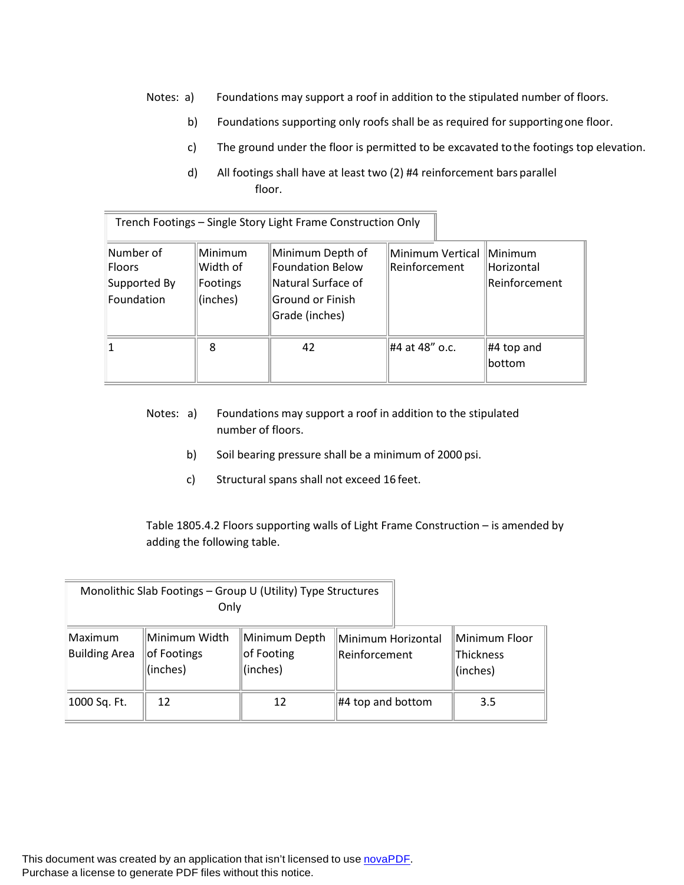- Notes: a) Foundations may support a roof in addition to the stipulated number of floors.
	- b) Foundations supporting only roofs shall be as required for supportingone floor.
	- c) The ground under the floor is permitted to be excavated tothe footings top elevation.
	- d) All footings shall have at least two (2) #4 reinforcement bars parallel floor.

| Trench Footings - Single Story Light Frame Construction Only |                                             |                                                                                                         |                                             |                                  |  |  |  |  |
|--------------------------------------------------------------|---------------------------------------------|---------------------------------------------------------------------------------------------------------|---------------------------------------------|----------------------------------|--|--|--|--|
| Number of<br><b>Floors</b><br>Supported By<br>Foundation     | Minimum<br>Width of<br>Footings<br>(inches) | Minimum Depth of<br><b>Foundation Below</b><br>Natural Surface of<br>Ground or Finish<br>Grade (inches) | Minimum Vertical   Minimum<br>Reinforcement | Horizontal<br>Reinforcement      |  |  |  |  |
| 8                                                            |                                             | 42                                                                                                      | #4 at 48" o.c.                              | $\parallel$ #4 top and<br>bottom |  |  |  |  |

- Notes: a) Foundations may support a roof in addition to the stipulated number of floors.
	- b) Soil bearing pressure shall be a minimum of 2000 psi.
	- c) Structural spans shall not exceed 16 feet.

Table 1805.4.2 Floors supporting walls of Light Frame Construction – is amended by adding the following table.

|                                                                             | Monolithic Slab Footings - Group U (Utility) Type Structures<br>Only |                                         |                                     |                                        |
|-----------------------------------------------------------------------------|----------------------------------------------------------------------|-----------------------------------------|-------------------------------------|----------------------------------------|
| Minimum Width<br>Maximum<br><b>Building Area</b><br>of Footings<br>(inches) |                                                                      | Minimum Depth<br>of Footing<br>(inches) | Minimum Horizontal<br>Reinforcement | Minimum Floor<br>Thickness<br>(inches) |
| 1000 Sq. Ft.                                                                | 12                                                                   | 12                                      | $\#4$ top and bottom                | 3.5                                    |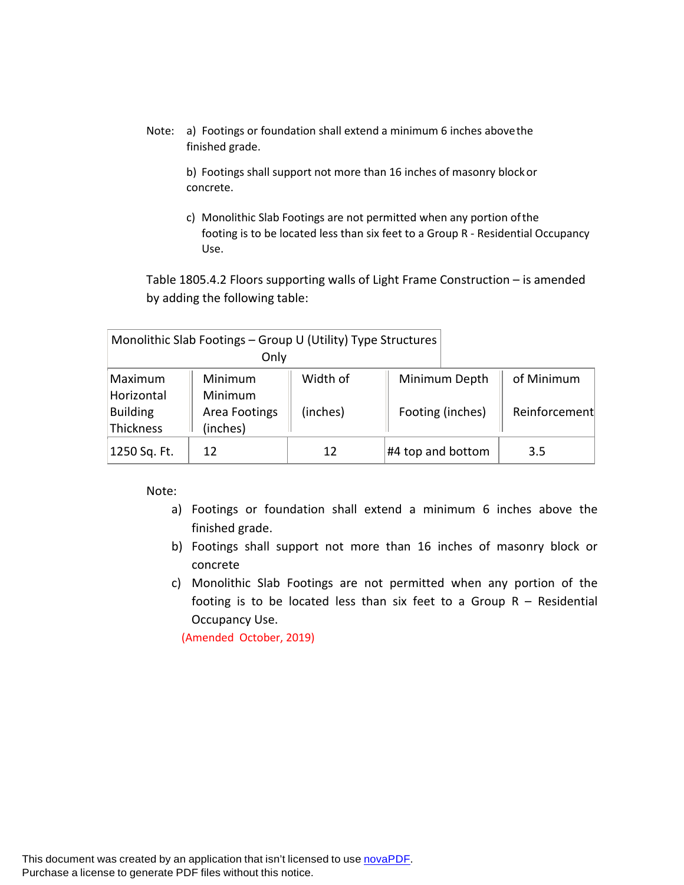Note: a) Footings or foundation shall extend a minimum 6 inches abovethe finished grade.

> b) Footings shall support not more than 16 inches of masonry blockor concrete.

c) Monolithic Slab Footings are not permitted when any portion ofthe footing is to be located less than six feet to a Group R - Residential Occupancy Use.

Table 1805.4.2 Floors supporting walls of Light Frame Construction – is amended by adding the following table:

|                                     | Monolithic Slab Footings - Group U (Utility) Type Structures<br>Only |          |                   |               |
|-------------------------------------|----------------------------------------------------------------------|----------|-------------------|---------------|
| Maximum                             | Minimum                                                              | Width of | Minimum Depth     | of Minimum    |
| Horizontal<br>Building<br>Thickness | Minimum<br>Area Footings<br>(inches)                                 | (inches) | Footing (inches)  | Reinforcement |
| 1250 Sq. Ft.                        | 12                                                                   | 12       | #4 top and bottom | 3.5           |

Note:

- a) Footings or foundation shall extend a minimum 6 inches above the finished grade.
- b) Footings shall support not more than 16 inches of masonry block or concrete
- c) Monolithic Slab Footings are not permitted when any portion of the footing is to be located less than six feet to a Group  $R -$  Residential Occupancy Use.

(Amended October, 2019)